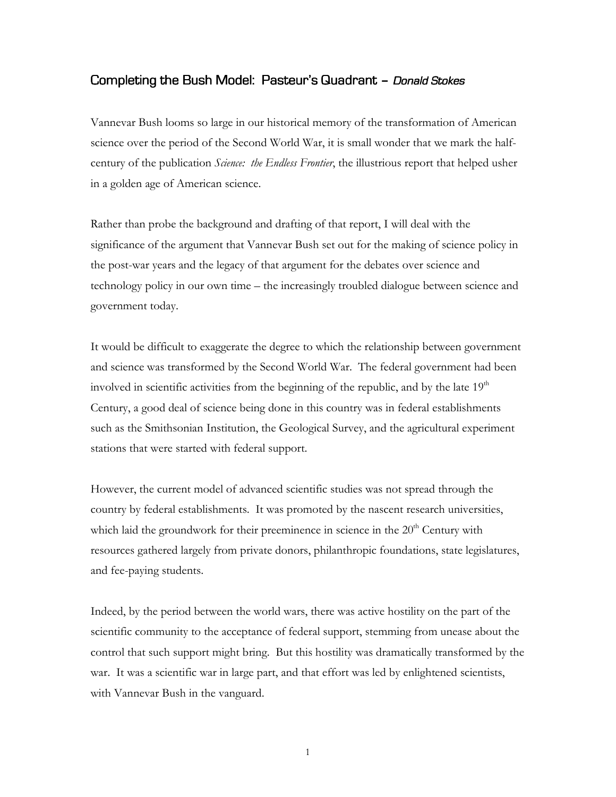## Completing the Bush Model: Pasteur's Quadrant – Donald Stokes

Vannevar Bush looms so large in our historical memory of the transformation of American science over the period of the Second World War, it is small wonder that we mark the halfcentury of the publication *Science: the Endless Frontier*, the illustrious report that helped usher in a golden age of American science.

Rather than probe the background and drafting of that report, I will deal with the significance of the argument that Vannevar Bush set out for the making of science policy in the post-war years and the legacy of that argument for the debates over science and technology policy in our own time – the increasingly troubled dialogue between science and government today.

It would be difficult to exaggerate the degree to which the relationship between government and science was transformed by the Second World War. The federal government had been involved in scientific activities from the beginning of the republic, and by the late  $19<sup>th</sup>$ Century, a good deal of science being done in this country was in federal establishments such as the Smithsonian Institution, the Geological Survey, and the agricultural experiment stations that were started with federal support.

However, the current model of advanced scientific studies was not spread through the country by federal establishments. It was promoted by the nascent research universities, which laid the groundwork for their preeminence in science in the  $20<sup>th</sup>$  Century with resources gathered largely from private donors, philanthropic foundations, state legislatures, and fee-paying students.

Indeed, by the period between the world wars, there was active hostility on the part of the scientific community to the acceptance of federal support, stemming from unease about the control that such support might bring. But this hostility was dramatically transformed by the war. It was a scientific war in large part, and that effort was led by enlightened scientists, with Vannevar Bush in the vanguard.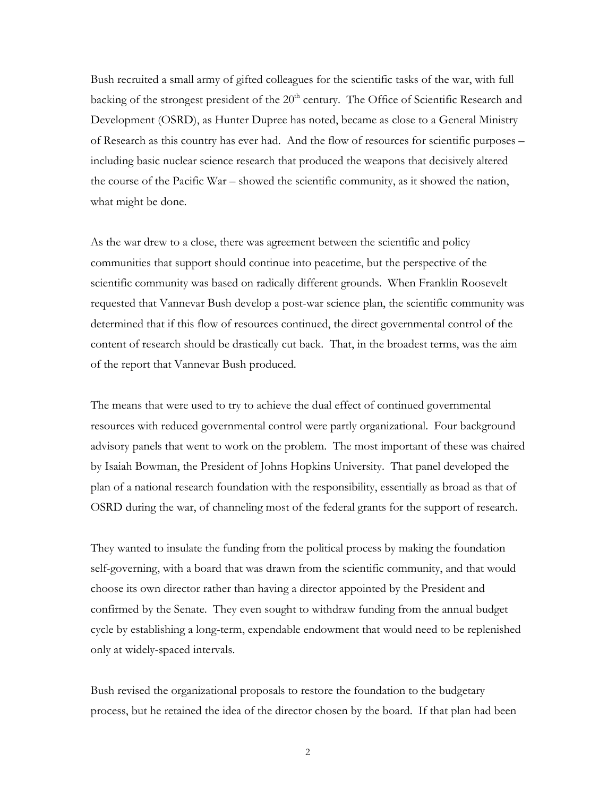Bush recruited a small army of gifted colleagues for the scientific tasks of the war, with full backing of the strongest president of the  $20<sup>th</sup>$  century. The Office of Scientific Research and Development (OSRD), as Hunter Dupree has noted, became as close to a General Ministry of Research as this country has ever had. And the flow of resources for scientific purposes – including basic nuclear science research that produced the weapons that decisively altered the course of the Pacific War – showed the scientific community, as it showed the nation, what might be done.

As the war drew to a close, there was agreement between the scientific and policy communities that support should continue into peacetime, but the perspective of the scientific community was based on radically different grounds. When Franklin Roosevelt requested that Vannevar Bush develop a post-war science plan, the scientific community was determined that if this flow of resources continued, the direct governmental control of the content of research should be drastically cut back. That, in the broadest terms, was the aim of the report that Vannevar Bush produced.

The means that were used to try to achieve the dual effect of continued governmental resources with reduced governmental control were partly organizational. Four background advisory panels that went to work on the problem. The most important of these was chaired by Isaiah Bowman, the President of Johns Hopkins University. That panel developed the plan of a national research foundation with the responsibility, essentially as broad as that of OSRD during the war, of channeling most of the federal grants for the support of research.

They wanted to insulate the funding from the political process by making the foundation self-governing, with a board that was drawn from the scientific community, and that would choose its own director rather than having a director appointed by the President and confirmed by the Senate. They even sought to withdraw funding from the annual budget cycle by establishing a long-term, expendable endowment that would need to be replenished only at widely-spaced intervals.

Bush revised the organizational proposals to restore the foundation to the budgetary process, but he retained the idea of the director chosen by the board. If that plan had been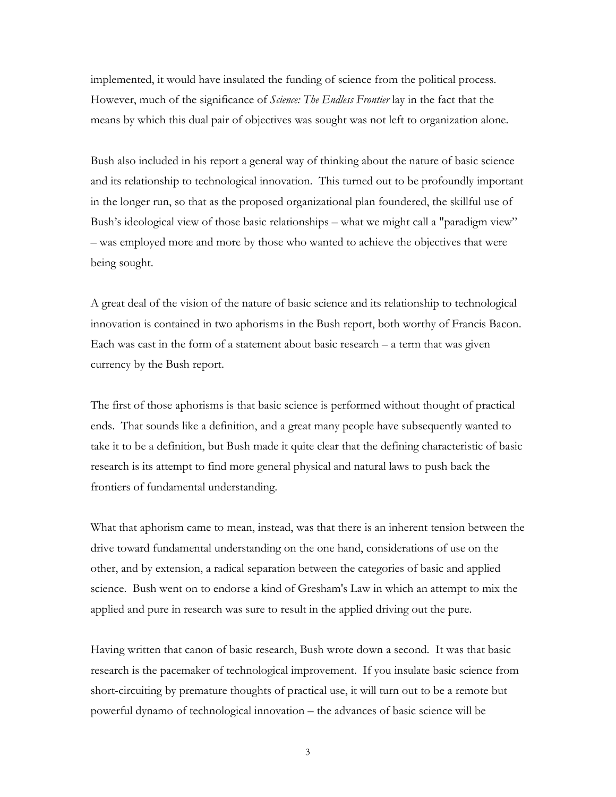implemented, it would have insulated the funding of science from the political process. However, much of the significance of *Science: The Endless Frontier* lay in the fact that the means by which this dual pair of objectives was sought was not left to organization alone.

Bush also included in his report a general way of thinking about the nature of basic science and its relationship to technological innovation. This turned out to be profoundly important in the longer run, so that as the proposed organizational plan foundered, the skillful use of Bush's ideological view of those basic relationships – what we might call a "paradigm view" – was employed more and more by those who wanted to achieve the objectives that were being sought.

A great deal of the vision of the nature of basic science and its relationship to technological innovation is contained in two aphorisms in the Bush report, both worthy of Francis Bacon. Each was cast in the form of a statement about basic research – a term that was given currency by the Bush report.

The first of those aphorisms is that basic science is performed without thought of practical ends. That sounds like a definition, and a great many people have subsequently wanted to take it to be a definition, but Bush made it quite clear that the defining characteristic of basic research is its attempt to find more general physical and natural laws to push back the frontiers of fundamental understanding.

What that aphorism came to mean, instead, was that there is an inherent tension between the drive toward fundamental understanding on the one hand, considerations of use on the other, and by extension, a radical separation between the categories of basic and applied science. Bush went on to endorse a kind of Gresham's Law in which an attempt to mix the applied and pure in research was sure to result in the applied driving out the pure.

Having written that canon of basic research, Bush wrote down a second. It was that basic research is the pacemaker of technological improvement. If you insulate basic science from short-circuiting by premature thoughts of practical use, it will turn out to be a remote but powerful dynamo of technological innovation – the advances of basic science will be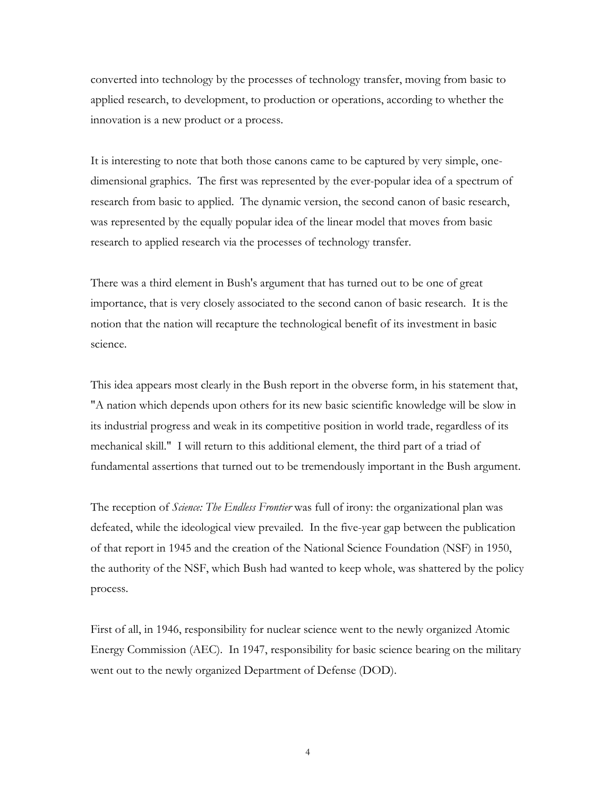converted into technology by the processes of technology transfer, moving from basic to applied research, to development, to production or operations, according to whether the innovation is a new product or a process.

It is interesting to note that both those canons came to be captured by very simple, onedimensional graphics. The first was represented by the ever-popular idea of a spectrum of research from basic to applied. The dynamic version, the second canon of basic research, was represented by the equally popular idea of the linear model that moves from basic research to applied research via the processes of technology transfer.

There was a third element in Bush's argument that has turned out to be one of great importance, that is very closely associated to the second canon of basic research. It is the notion that the nation will recapture the technological benefit of its investment in basic science.

This idea appears most clearly in the Bush report in the obverse form, in his statement that, "A nation which depends upon others for its new basic scientific knowledge will be slow in its industrial progress and weak in its competitive position in world trade, regardless of its mechanical skill." I will return to this additional element, the third part of a triad of fundamental assertions that turned out to be tremendously important in the Bush argument.

The reception of *Science: The Endless Frontier* was full of irony: the organizational plan was defeated, while the ideological view prevailed. In the five-year gap between the publication of that report in 1945 and the creation of the National Science Foundation (NSF) in 1950, the authority of the NSF, which Bush had wanted to keep whole, was shattered by the policy process.

First of all, in 1946, responsibility for nuclear science went to the newly organized Atomic Energy Commission (AEC). In 1947, responsibility for basic science bearing on the military went out to the newly organized Department of Defense (DOD).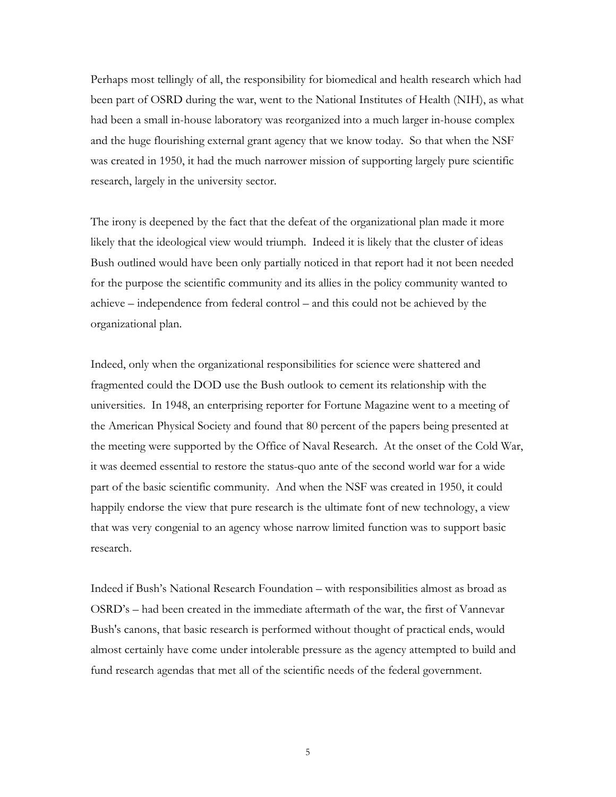Perhaps most tellingly of all, the responsibility for biomedical and health research which had been part of OSRD during the war, went to the National Institutes of Health (NIH), as what had been a small in-house laboratory was reorganized into a much larger in-house complex and the huge flourishing external grant agency that we know today. So that when the NSF was created in 1950, it had the much narrower mission of supporting largely pure scientific research, largely in the university sector.

The irony is deepened by the fact that the defeat of the organizational plan made it more likely that the ideological view would triumph. Indeed it is likely that the cluster of ideas Bush outlined would have been only partially noticed in that report had it not been needed for the purpose the scientific community and its allies in the policy community wanted to achieve – independence from federal control – and this could not be achieved by the organizational plan.

Indeed, only when the organizational responsibilities for science were shattered and fragmented could the DOD use the Bush outlook to cement its relationship with the universities. In 1948, an enterprising reporter for Fortune Magazine went to a meeting of the American Physical Society and found that 80 percent of the papers being presented at the meeting were supported by the Office of Naval Research. At the onset of the Cold War, it was deemed essential to restore the status-quo ante of the second world war for a wide part of the basic scientific community. And when the NSF was created in 1950, it could happily endorse the view that pure research is the ultimate font of new technology, a view that was very congenial to an agency whose narrow limited function was to support basic research.

Indeed if Bush's National Research Foundation – with responsibilities almost as broad as OSRD's – had been created in the immediate aftermath of the war, the first of Vannevar Bush's canons, that basic research is performed without thought of practical ends, would almost certainly have come under intolerable pressure as the agency attempted to build and fund research agendas that met all of the scientific needs of the federal government.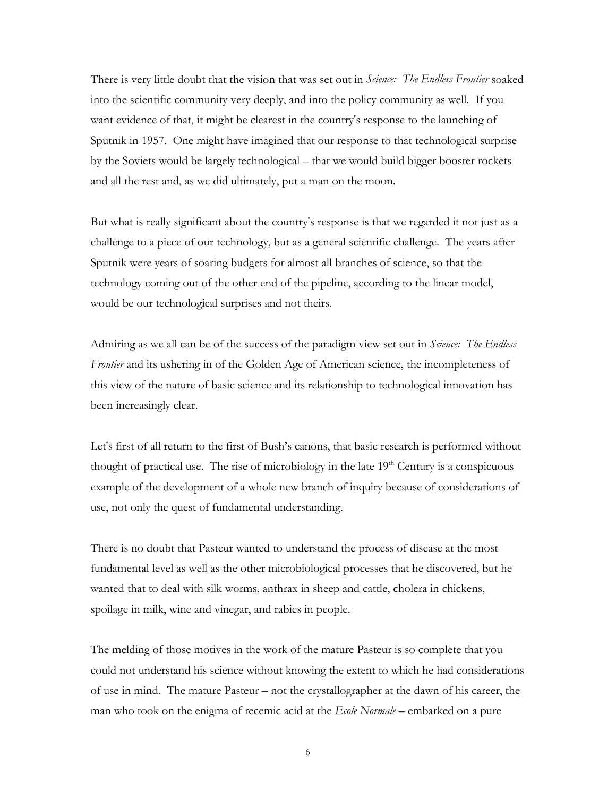There is very little doubt that the vision that was set out in *Science: The Endless Frontier* soaked into the scientific community very deeply, and into the policy community as well. If you want evidence of that, it might be clearest in the country's response to the launching of Sputnik in 1957. One might have imagined that our response to that technological surprise by the Soviets would be largely technological – that we would build bigger booster rockets and all the rest and, as we did ultimately, put a man on the moon.

But what is really significant about the country's response is that we regarded it not just as a challenge to a piece of our technology, but as a general scientific challenge. The years after Sputnik were years of soaring budgets for almost all branches of science, so that the technology coming out of the other end of the pipeline, according to the linear model, would be our technological surprises and not theirs.

Admiring as we all can be of the success of the paradigm view set out in *Science: The Endless Frontier* and its ushering in of the Golden Age of American science, the incompleteness of this view of the nature of basic science and its relationship to technological innovation has been increasingly clear.

Let's first of all return to the first of Bush's canons, that basic research is performed without thought of practical use. The rise of microbiology in the late  $19<sup>th</sup>$  Century is a conspicuous example of the development of a whole new branch of inquiry because of considerations of use, not only the quest of fundamental understanding.

There is no doubt that Pasteur wanted to understand the process of disease at the most fundamental level as well as the other microbiological processes that he discovered, but he wanted that to deal with silk worms, anthrax in sheep and cattle, cholera in chickens, spoilage in milk, wine and vinegar, and rabies in people.

The melding of those motives in the work of the mature Pasteur is so complete that you could not understand his science without knowing the extent to which he had considerations of use in mind. The mature Pasteur – not the crystallographer at the dawn of his career, the man who took on the enigma of recemic acid at the *Ecole Normale* – embarked on a pure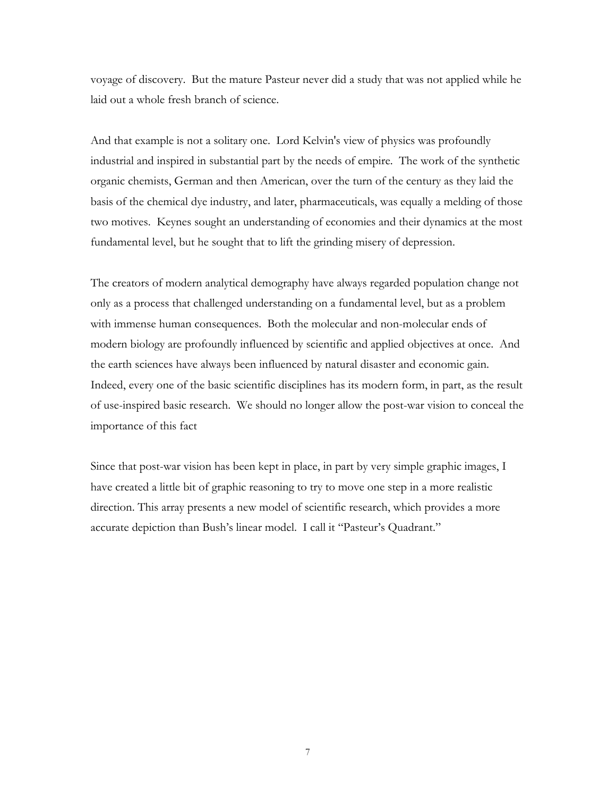voyage of discovery. But the mature Pasteur never did a study that was not applied while he laid out a whole fresh branch of science.

And that example is not a solitary one. Lord Kelvin's view of physics was profoundly industrial and inspired in substantial part by the needs of empire. The work of the synthetic organic chemists, German and then American, over the turn of the century as they laid the basis of the chemical dye industry, and later, pharmaceuticals, was equally a melding of those two motives. Keynes sought an understanding of economies and their dynamics at the most fundamental level, but he sought that to lift the grinding misery of depression.

The creators of modern analytical demography have always regarded population change not only as a process that challenged understanding on a fundamental level, but as a problem with immense human consequences. Both the molecular and non-molecular ends of modern biology are profoundly influenced by scientific and applied objectives at once. And the earth sciences have always been influenced by natural disaster and economic gain. Indeed, every one of the basic scientific disciplines has its modern form, in part, as the result of use-inspired basic research. We should no longer allow the post-war vision to conceal the importance of this fact

Since that post-war vision has been kept in place, in part by very simple graphic images, I have created a little bit of graphic reasoning to try to move one step in a more realistic direction. This array presents a new model of scientific research, which provides a more accurate depiction than Bush's linear model. I call it "Pasteur's Quadrant."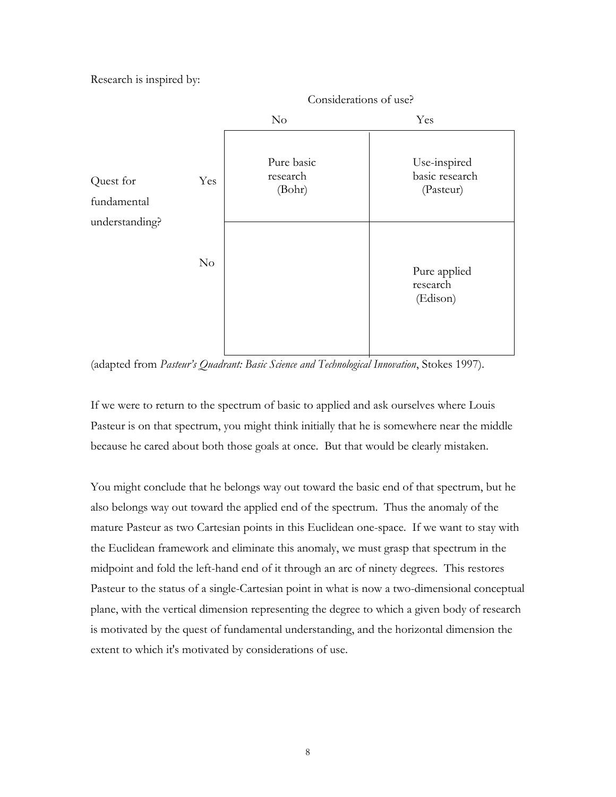Research is inspired by:



(adapted from *Pasteur's Quadrant: Basic Science and Technological Innovation*, Stokes 1997).

If we were to return to the spectrum of basic to applied and ask ourselves where Louis Pasteur is on that spectrum, you might think initially that he is somewhere near the middle because he cared about both those goals at once. But that would be clearly mistaken.

You might conclude that he belongs way out toward the basic end of that spectrum, but he also belongs way out toward the applied end of the spectrum. Thus the anomaly of the mature Pasteur as two Cartesian points in this Euclidean one-space. If we want to stay with the Euclidean framework and eliminate this anomaly, we must grasp that spectrum in the midpoint and fold the left-hand end of it through an arc of ninety degrees. This restores Pasteur to the status of a single-Cartesian point in what is now a two-dimensional conceptual plane, with the vertical dimension representing the degree to which a given body of research is motivated by the quest of fundamental understanding, and the horizontal dimension the extent to which it's motivated by considerations of use.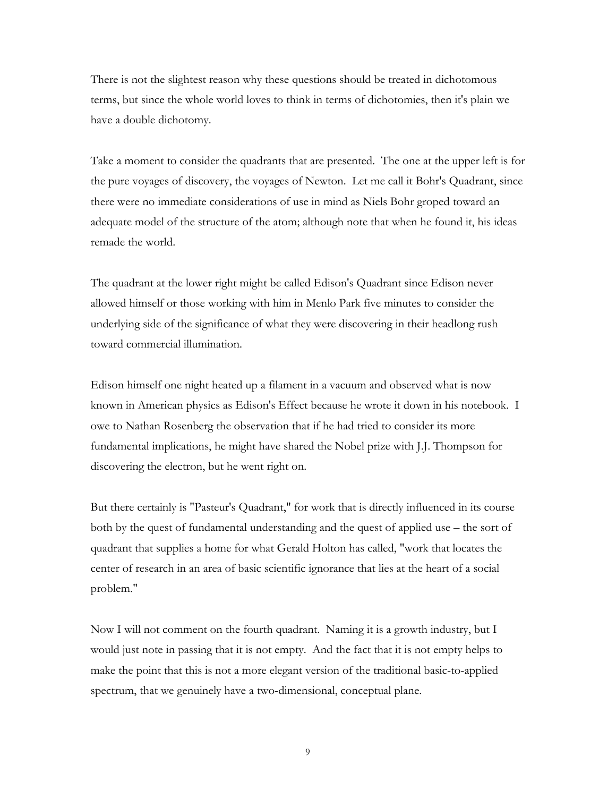There is not the slightest reason why these questions should be treated in dichotomous terms, but since the whole world loves to think in terms of dichotomies, then it's plain we have a double dichotomy.

Take a moment to consider the quadrants that are presented. The one at the upper left is for the pure voyages of discovery, the voyages of Newton. Let me call it Bohr's Quadrant, since there were no immediate considerations of use in mind as Niels Bohr groped toward an adequate model of the structure of the atom; although note that when he found it, his ideas remade the world.

The quadrant at the lower right might be called Edison's Quadrant since Edison never allowed himself or those working with him in Menlo Park five minutes to consider the underlying side of the significance of what they were discovering in their headlong rush toward commercial illumination.

Edison himself one night heated up a filament in a vacuum and observed what is now known in American physics as Edison's Effect because he wrote it down in his notebook. I owe to Nathan Rosenberg the observation that if he had tried to consider its more fundamental implications, he might have shared the Nobel prize with J.J. Thompson for discovering the electron, but he went right on.

But there certainly is "Pasteur's Quadrant," for work that is directly influenced in its course both by the quest of fundamental understanding and the quest of applied use – the sort of quadrant that supplies a home for what Gerald Holton has called, "work that locates the center of research in an area of basic scientific ignorance that lies at the heart of a social problem."

Now I will not comment on the fourth quadrant. Naming it is a growth industry, but I would just note in passing that it is not empty. And the fact that it is not empty helps to make the point that this is not a more elegant version of the traditional basic-to-applied spectrum, that we genuinely have a two-dimensional, conceptual plane.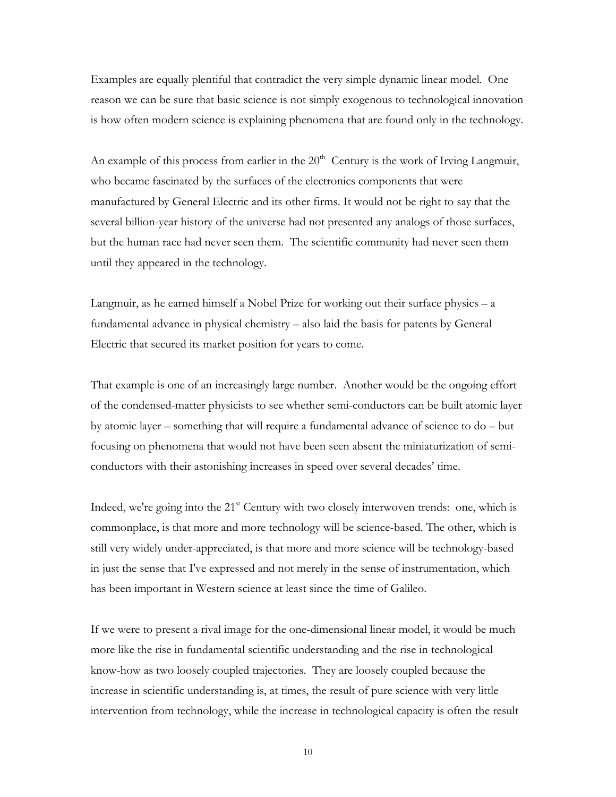Examples are equally plentiful that contradict the very simple dynamic linear model. One reason we can be sure that basic science is not simply exogenous to technological innovation is how often modern science is explaining phenomena that are found only in the technology.

An example of this process from earlier in the  $20<sup>th</sup>$  Century is the work of Irving Langmuir, who became fascinated by the surfaces of the electronics components that were manufactured by General Electric and its other firms. It would not be right to say that the several billion-year history of the universe had not presented any analogs of those surfaces, but the human race had never seen them. The scientific community had never seen them until they appeared in the technology.

Langmuir, as he earned himself a Nobel Prize for working out their surface physics – a fundamental advance in physical chemistry – also laid the basis for patents by General Electric that secured its market position for years to come.

That example is one of an increasingly large number. Another would be the ongoing effort of the condensed-matter physicists to see whether semi-conductors can be built atomic layer by atomic layer – something that will require a fundamental advance of science to do – but focusing on phenomena that would not have been seen absent the miniaturization of semiconductors with their astonishing increases in speed over several decades' time.

Indeed, we're going into the  $21<sup>st</sup>$  Century with two closely interwoven trends: one, which is commonplace, is that more and more technology will be science-based. The other, which is still very widely under-appreciated, is that more and more science will be technology-based in just the sense that I've expressed and not merely in the sense of instrumentation, which has been important in Western science at least since the time of Galileo.

If we were to present a rival image for the one-dimensional linear model, it would be much more like the rise in fundamental scientific understanding and the rise in technological know-how as two loosely coupled trajectories. They are loosely coupled because the increase in scientific understanding is, at times, the result of pure science with very little intervention from technology, while the increase in technological capacity is often the result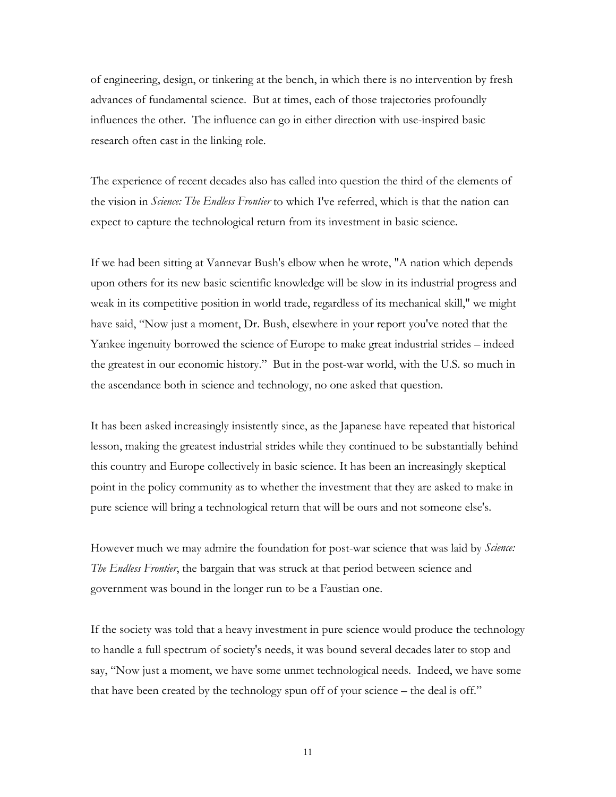of engineering, design, or tinkering at the bench, in which there is no intervention by fresh advances of fundamental science. But at times, each of those trajectories profoundly influences the other. The influence can go in either direction with use-inspired basic research often cast in the linking role.

The experience of recent decades also has called into question the third of the elements of the vision in *Science: The Endless Frontier* to which I've referred, which is that the nation can expect to capture the technological return from its investment in basic science.

If we had been sitting at Vannevar Bush's elbow when he wrote, "A nation which depends upon others for its new basic scientific knowledge will be slow in its industrial progress and weak in its competitive position in world trade, regardless of its mechanical skill," we might have said, "Now just a moment, Dr. Bush, elsewhere in your report you've noted that the Yankee ingenuity borrowed the science of Europe to make great industrial strides – indeed the greatest in our economic history." But in the post-war world, with the U.S. so much in the ascendance both in science and technology, no one asked that question.

It has been asked increasingly insistently since, as the Japanese have repeated that historical lesson, making the greatest industrial strides while they continued to be substantially behind this country and Europe collectively in basic science. It has been an increasingly skeptical point in the policy community as to whether the investment that they are asked to make in pure science will bring a technological return that will be ours and not someone else's.

However much we may admire the foundation for post-war science that was laid by *Science: The Endless Frontier*, the bargain that was struck at that period between science and government was bound in the longer run to be a Faustian one.

If the society was told that a heavy investment in pure science would produce the technology to handle a full spectrum of society's needs, it was bound several decades later to stop and say, "Now just a moment, we have some unmet technological needs. Indeed, we have some that have been created by the technology spun off of your science – the deal is off."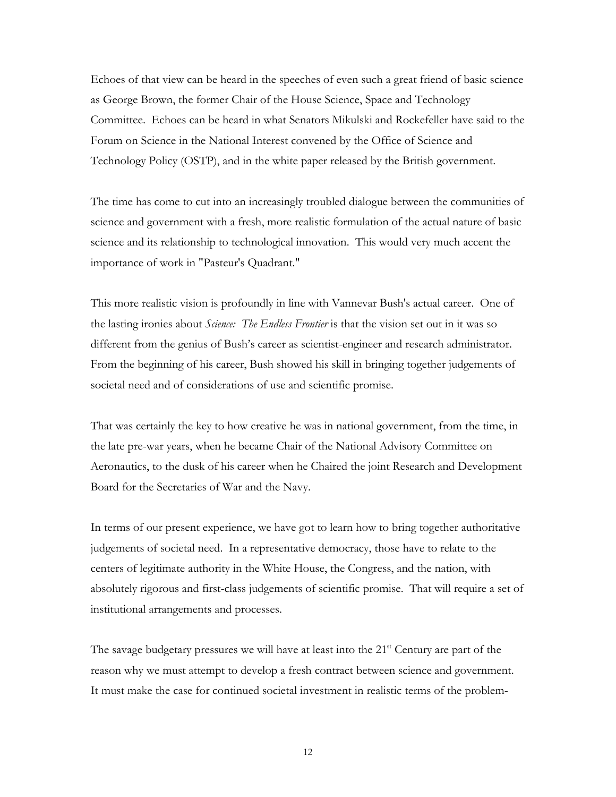Echoes of that view can be heard in the speeches of even such a great friend of basic science as George Brown, the former Chair of the House Science, Space and Technology Committee. Echoes can be heard in what Senators Mikulski and Rockefeller have said to the Forum on Science in the National Interest convened by the Office of Science and Technology Policy (OSTP), and in the white paper released by the British government.

The time has come to cut into an increasingly troubled dialogue between the communities of science and government with a fresh, more realistic formulation of the actual nature of basic science and its relationship to technological innovation. This would very much accent the importance of work in "Pasteur's Quadrant."

This more realistic vision is profoundly in line with Vannevar Bush's actual career. One of the lasting ironies about *Science: The Endless Frontier* is that the vision set out in it was so different from the genius of Bush's career as scientist-engineer and research administrator. From the beginning of his career, Bush showed his skill in bringing together judgements of societal need and of considerations of use and scientific promise.

That was certainly the key to how creative he was in national government, from the time, in the late pre-war years, when he became Chair of the National Advisory Committee on Aeronautics, to the dusk of his career when he Chaired the joint Research and Development Board for the Secretaries of War and the Navy.

In terms of our present experience, we have got to learn how to bring together authoritative judgements of societal need. In a representative democracy, those have to relate to the centers of legitimate authority in the White House, the Congress, and the nation, with absolutely rigorous and first-class judgements of scientific promise. That will require a set of institutional arrangements and processes.

The savage budgetary pressures we will have at least into the  $21<sup>st</sup>$  Century are part of the reason why we must attempt to develop a fresh contract between science and government. It must make the case for continued societal investment in realistic terms of the problem-